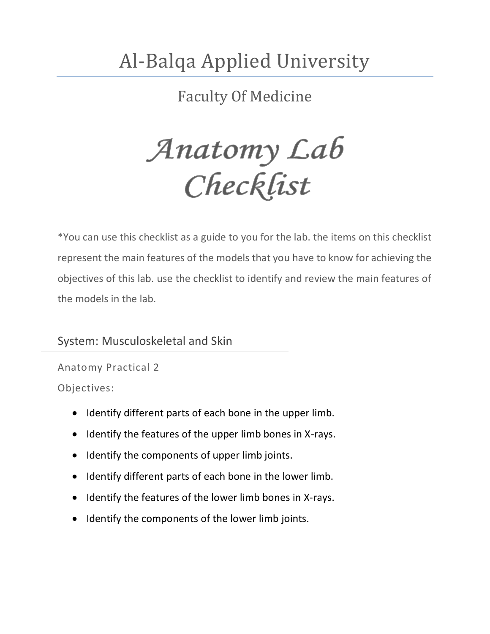# Al-Balqa Applied University

Faculty Of Medicine

Anatomy Lab<br>Checklist

\*You can use this checklist as a guide to you for the lab. the items on this checklist represent the main features of the models that you have to know for achieving the objectives of this lab. use the checklist to identify and review the main features of the models in the lab.

System: Musculoskeletal and Skin

Anatomy Practical 2 Objectives:

- Identify different parts of each bone in the upper limb.
- Identify the features of the upper limb bones in X-rays.
- Identify the components of upper limb joints.
- Identify different parts of each bone in the lower limb.
- Identify the features of the lower limb bones in X-rays.
- Identify the components of the lower limb joints.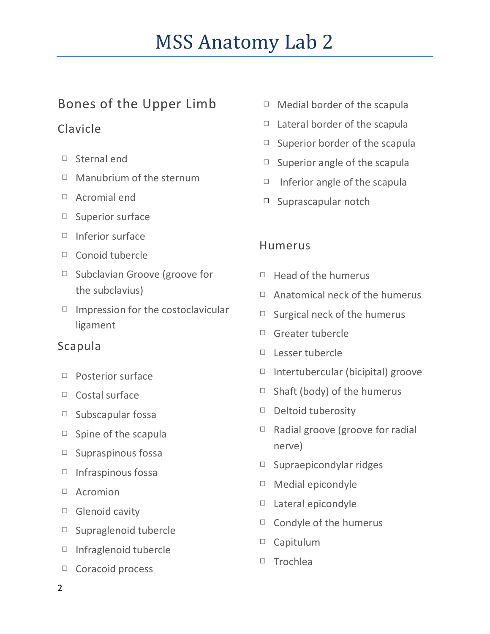# Bones of the Upper Limb

# Clavicle

- □ Sternal end
- □ Manubrium of the sternum
- □ Acromial end
- □ Superior surface
- □ Inferior surface
- □ Conoid tubercle
- □ Subclavian Groove (groove for the subclavius)
- $\Box$  Impression for the costoclavicular ligament

### Scapula

- □ Posterior surface
- □ Costal surface
- □ Subscapular fossa
- $\Box$  Spine of the scapula
- $\Box$  Supraspinous fossa
- □ Infraspinous fossa
- □ Acromion
- □ Glenoid cavity
- □ Supraglenoid tubercle
- □ Infraglenoid tubercle
- □ Coracoid process
- $\Box$  Medial border of the scapula
- $\Box$  Lateral border of the scapula
- $\Box$  Superior border of the scapula
- $\Box$  Superior angle of the scapula
- $\Box$  Inferior angle of the scapula
- □ Suprascapular notch

# Humerus

- $\Box$  Head of the humerus
- $\Box$  Anatomical neck of the humerus
- $\Box$  Surgical neck of the humerus
- □ Greater tubercle
- □ Lesser tubercle
- $\Box$  Intertubercular (bicipital) groove
- $\Box$  Shaft (body) of the humerus
- □ Deltoid tuberosity
- □ Radial groove (groove for radial nerve)
- □ Supraepicondylar ridges
- □ Medial epicondyle
- □ Lateral epicondyle
- $\Box$  Condyle of the humerus
- □ Capitulum
- □ Trochlea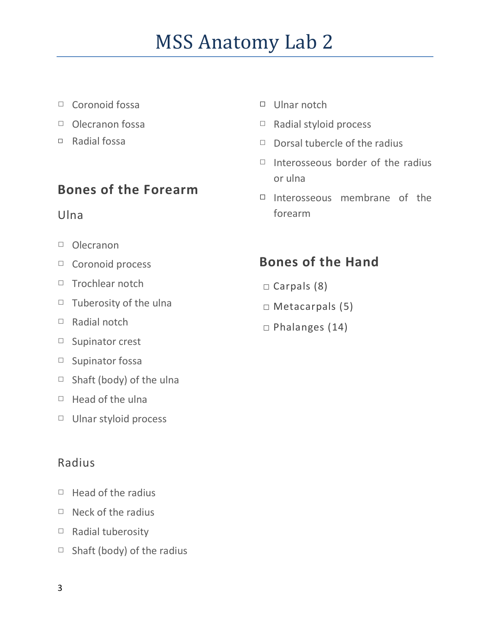- □ Coronoid fossa
- □ Olecranon fossa
- □ Radial fossa

### **Bones of the Forearm**

#### Ulna

- □ Olecranon
- □ Coronoid process
- □ Trochlear notch
- $\Box$  Tuberosity of the ulna
- □ Radial notch
- □ Supinator crest
- □ Supinator fossa
- $\Box$  Shaft (body) of the ulna
- $\Box$  Head of the ulna
- □ Ulnar styloid process

#### Radius

- $\Box$  Head of the radius
- □ Neck of the radius
- □ Radial tuberosity
- $\Box$  Shaft (body) of the radius
- □ Ulnar notch
- □ Radial styloid process
- $\Box$  Dorsal tubercle of the radius
- $\Box$  Interosseous border of the radius or ulna
- $\Box$  Interosseous membrane of the forearm

# **Bones of the Hand**

- □ Carpals (8)
- □ Metacarpals (5)
- □ Phalanges (14)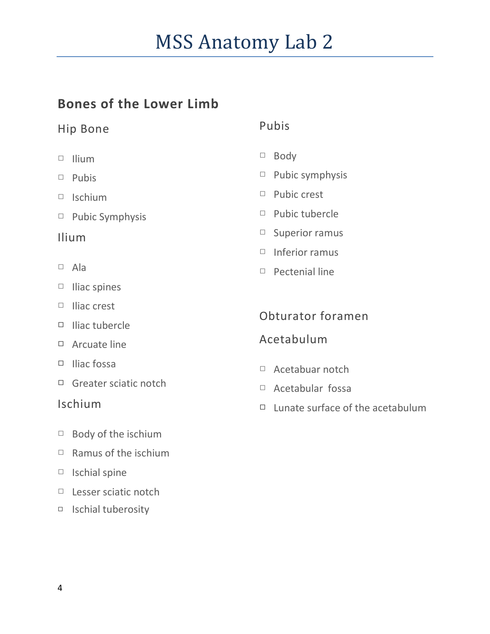# **Bones of the Lower Limb**

#### Hip Bone

- □ Ilium
- □ Pubis
- □ Ischium
- □ Pubic Symphysis

#### Ilium

- □ Ala
- □ Iliac spines
- □ Iliac crest
- □ Iliac tubercle
- □ Arcuate line
- □ Iliac fossa
- □ Greater sciatic notch

#### Ischium

- □ Body of the ischium
- $\Box$  Ramus of the ischium
- □ Ischial spine
- □ Lesser sciatic notch
- □ Ischial tuberosity

#### Pubis

- □ Body
- □ Pubic symphysis
- □ Pubic crest
- □ Pubic tubercle
- □ Superior ramus
- □ Inferior ramus
- □ Pectenial line

Obturator foramen

#### Acetabulum

- □ Acetabuar notch
- □ Acetabular fossa
- $\Box$  Lunate surface of the acetabulum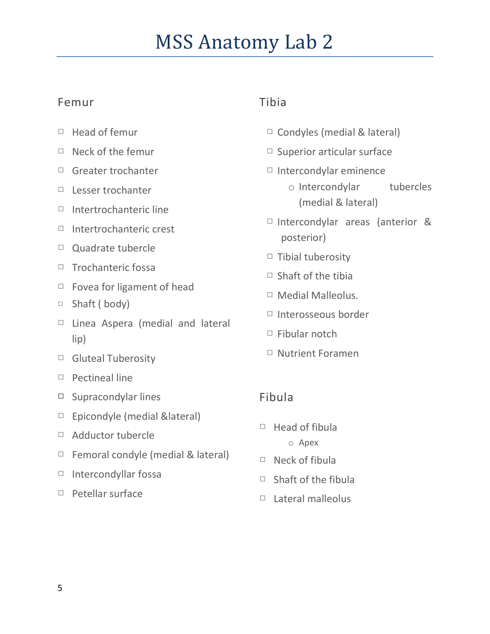### Femur

- □ Head of femur
- □ Neck of the femur
- □ Greater trochanter
- □ Lesser trochanter
- □ Intertrochanteric line
- □ Intertrochanteric crest
- □ Quadrate tubercle
- □ Trochanteric fossa
- □ Fovea for ligament of head
- □ Shaft ( body)
- □ Linea Aspera (medial and lateral lip)
- □ Gluteal Tuberosity
- □ Pectineal line
- □ Supracondylar lines
- □ Epicondyle (medial &lateral)
- □ Adductor tubercle
- $\Box$  Femoral condyle (medial & lateral)
- □ Intercondyllar fossa
- □ Petellar surface

#### Tibia

- □ Condyles (medial & lateral)
- □ Superior articular surface
- $\Box$  Intercondylar eminence
	- o Intercondylar tubercles (medial & lateral)
- □ Intercondylar areas (anterior & posterior)
- $\Box$  Tibial tuberosity
- $\Box$  Shaft of the tibia
- □ Medial Malleolus.
- □ Interosseous border
- □ Fibular notch
- □ Nutrient Foramen

#### Fibula

- $\Box$  Head of fibula o Apex
- $\Box$  Neck of fibula
- $\Box$  Shaft of the fibula
- □ Lateral malleolus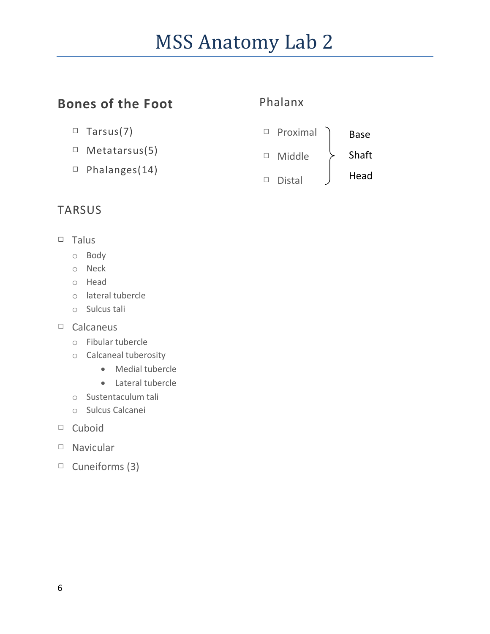# **Bones of the Foot**

#### Phalanx



- □ Metatarsus(5)
- □ Phalanges(14)



# TARSUS

- □ Talus
	- o Body
	- o Neck
	- o Head
	- o lateral tubercle
	- o Sulcus tali
- □ Calcaneus
	- o Fibular tubercle
	- o Calcaneal tuberosity
		- Medial tubercle
		- Lateral tubercle
	- o Sustentaculum tali
	- o Sulcus Calcanei
- □ Cuboid
- □ Navicular
- □ Cuneiforms (3)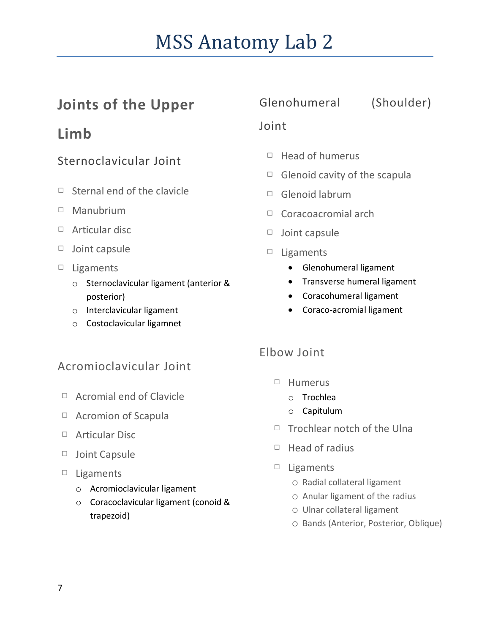# **Joints of the Upper**

# **Limb**

# Sternoclavicular Joint

- □ Sternal end of the clavicle
- □ Manubrium
- □ Articular disc
- □ Joint capsule
- □ Ligaments
	- o Sternoclavicular ligament (anterior & posterior)
	- o Interclavicular ligament
	- o Costoclavicular ligamnet

# Acromioclavicular Joint

- □ Acromial end of Clavicle
- □ Acromion of Scapula
- □ Articular Disc
- □ Joint Capsule
- □ Ligaments
	- o Acromioclavicular ligament
	- o Coracoclavicular ligament (conoid & trapezoid)

## Glenohumeral (Shoulder)

#### Joint

- $\Box$  Head of humerus
- $\Box$  Glenoid cavity of the scapula
- □ Glenoid labrum
- □ Coracoacromial arch
- □ Joint capsule
- □ Ligaments
	- Glenohumeral ligament
	- **•** Transverse humeral ligament
	- Coracohumeral ligament
	- Coraco-acromial ligament

### Elbow Joint

- □ Humerus
	- o Trochlea
	- o Capitulum
- □ Trochlear notch of the Ulna
- $\Box$  Head of radius
- □ Ligaments
	- o Radial collateral ligament
	- o Anular ligament of the radius
	- o Ulnar collateral ligament
	- o Bands (Anterior, Posterior, Oblique)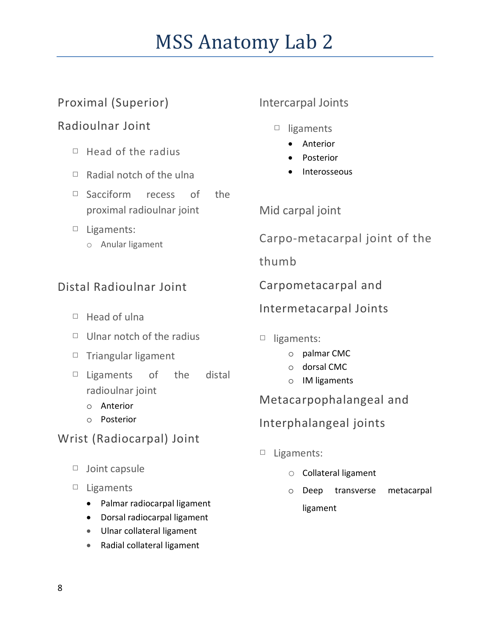# Proximal (Superior)

# Radioulnar Joint

- $\Box$  Head of the radius
- $\Box$  Radial notch of the ulna
- □ Sacciform recess of the proximal radioulnar joint
- □ Ligaments:
	- o Anular ligament

# Distal Radioulnar Joint

- □ Head of ulna
- $\Box$  Ulnar notch of the radius
- □ Triangular ligament
- $\Box$  Ligaments of the distal radioulnar joint
	- o Anterior
	- o Posterior

# Wrist (Radiocarpal) Joint

- □ Joint capsule
- □ Ligaments
	- Palmar radiocarpal ligament
	- Dorsal radiocarpal ligament
	- Ulnar collateral ligament
	- Radial collateral ligament

#### Intercarpal Joints

- □ ligaments
	- Anterior
	- Posterior
	- Interosseous

Mid carpal joint

Carpo-metacarpal joint of the

thumb

Carpometacarpal and

Intermetacarpal Joints

- □ ligaments:
	- o palmar CMC
	- o dorsal CMC
	- o IM ligaments

Metacarpophalangeal and

Interphalangeal joints

- □ Ligaments:
	- o Collateral ligament
	- o Deep transverse metacarpal ligament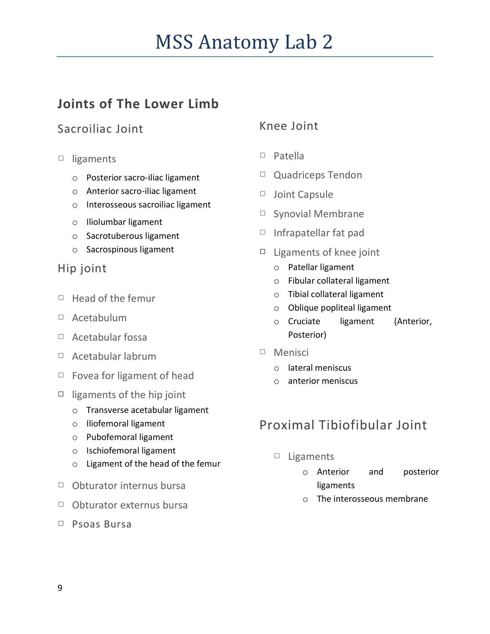# **Joints of The Lower Limb**

### Sacroiliac Joint

- □ ligaments
	- o Posterior sacro-iliac ligament
	- o Anterior sacro-iliac ligament
	- o Interosseous sacroiliac ligament
	- o Iliolumbar ligament
	- o Sacrotuberous ligament
	- o Sacrospinous ligament

#### Hip joint

- □ Head of the femur
- □ Acetabulum
- □ Acetabular fossa
- □ Acetabular labrum
- $\Box$  Fovea for ligament of head
- □ ligaments of the hip joint
	- o Transverse acetabular ligament
	- o Iliofemoral ligament
	- o Pubofemoral ligament
	- o Ischiofemoral ligament
	- o Ligament of the head of the femur
- □ Obturator internus bursa
- □ Obturator externus bursa
- □ Psoas Bursa

#### Knee Joint

- □ Patella
- □ Quadriceps Tendon
- □ Joint Capsule
- □ Synovial Membrane
- □ Infrapatellar fat pad
- $\Box$  Ligaments of knee joint
	- o Patellar ligament
	- o Fibular collateral ligament
	- o Tibial collateral ligament
	- o Oblique popliteal ligament
	- o Cruciate ligament (Anterior, Posterior)
- □ Menisci
	- o lateral meniscus
	- o anterior meniscus

# Proximal Tibiofibular Joint

- □ Ligaments
	- o Anterior and posterior ligaments
	- o The interosseous membrane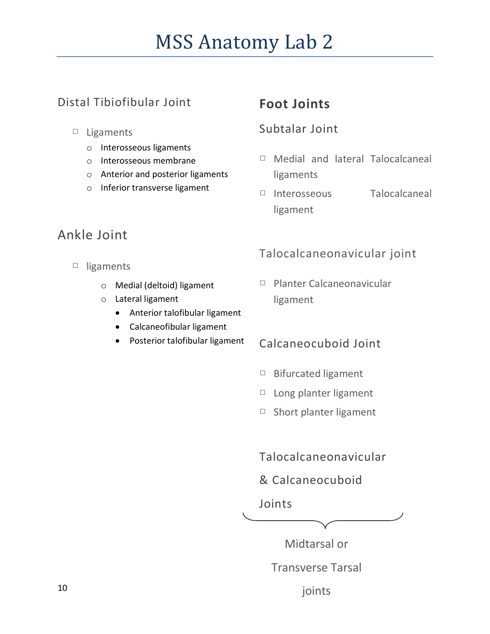# Distal Tibiofibular Joint

- □ Ligaments
	- o Interosseous ligaments
	- o Interosseous membrane
	- o Anterior and posterior ligaments
	- o Inferior transverse ligament

# **Foot Joints**

#### Subtalar Joint

- □ Medial and lateral Talocalcaneal ligaments
- □ Interosseous Talocalcaneal ligament

# Ankle Joint

- □ ligaments
	- o Medial (deltoid) ligament
	- o Lateral ligament
		- Anterior talofibular ligament
		- Calcaneofibular ligament
		- Posterior talofibular ligament

### Talocalcaneonavicular joint

□ Planter Calcaneonavicular ligament

### Calcaneocuboid Joint

- □ Bifurcated ligament
- □ Long planter ligament
- □ Short planter ligament

Talocalcaneonavicular

#### & Calcaneocuboid

#### Joints

Midtarsal or

Transverse Tarsal

joints